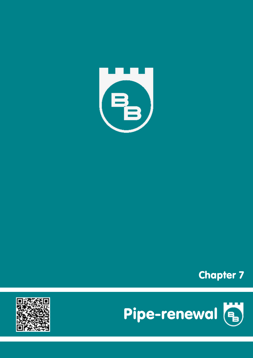





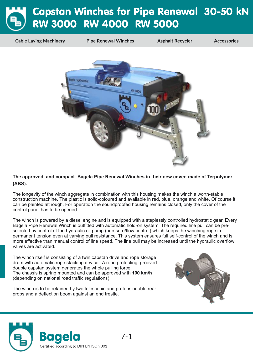# Capstan Winches for Pipe Renewal 30-50 kN RW 3000 RW 4000 RW 5000

**Cable Laying Machinery Pipe Renewal Winches Asphalt Recycler Accessories**



#### **The approved and compact Bagela Pipe Renewal Winches in their new cover, made of Terpolymer (ABS).**

The longevity of the winch aggregate in combination with this housing makes the winch a worth-stable construction machine. The plastic is solid-coloured and available in red, blue, orange and white. Of course it can be painted although. For operation the soundproofed housing remains closed, only the cover of the control panel has to be opened.

The winch is powered by a diesel engine and is equipped with a steplessly controlled hydrostatic gear. Every Bagela Pipe Renewal Winch is outfitted with automatic hold-on system. The required line pull can be preselected by control of the hydraulic oil pump (pressure/flow control) which keeps the winching rope in permanent tension even at varying pull resistance. This system ensures full self-control of the winch and is more effective than manual control of line speed. The line pull may be increased until the hydraulic overflow valves are activated.

The winch itself is consisting of a twin capstan drive and rope storage drum with automatic rope stacking device. A rope protecting, grooved double capstan system generates the whole pulling force. The chassis is spring mounted and can be approved with **100 km/h** (depending on national road traffic regulations).





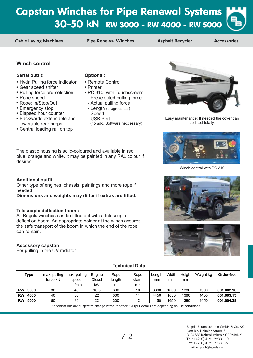### Capstan Winches for Pipe Renewal Systems 30-50 kN RW 3000 - RW 4000 - RW 5000

**Cable Laying Machines Pipe Renewal Winches Asphalt Recycler Accessories**

### **Winch control**

#### **Serial outfit: Optional:**

- **Hydr. Pulling force indicator**
- Gear speed shifter **•**
- **Pulling force pre-selection**
- Rope speed **•**

desired.

needed .

can remain.

**Accessory capstan**

**Additional outfit:**

**Telescopic deflection boom:**

For pulling in the UV radiator.

- Rope: In/Stop/Out **•**
- Emergency stop **•**
- Elapsed hour counter **•**
- Backwards extendable and **•** lowerable rear props
- Central loading rail on top **•**

- Remote Control **•**
- Printer **•**
- PC 310, with Touchscreen: **•**
- Preselected pulling force
- Actual pulling force
- Length (progress bar)
- Speed

The plastic housing is solid-coloured and available in red, blue, orange and white. It may be painted in any RAL colour if

Other type of engines, chassis, paintings and more rope if

**Dimensions and weights may differ if extras are fitted.**

deflection boom. An appropriate holder at the winch assures the safe transport of the boom in which the end of the rope

All Bagela winches can be fitted out with a telescopic

- USB Port (no add. Software neccessary)



Easy maintenance: If needed the cover can be lifted totally.



Winch control with PC 310





| <b>Type</b>       | max. pulling<br>force kN | max. pulling<br>speed | Engine<br><b>Diesel</b> | Rope<br>length | Rope<br>diam. | Length<br>mm | Width<br>mm | Height<br>mm | Weight kg | Order-No.  |
|-------------------|--------------------------|-----------------------|-------------------------|----------------|---------------|--------------|-------------|--------------|-----------|------------|
|                   |                          | m/min                 | kW                      | m              | mm            |              |             |              |           |            |
| <b>RW</b><br>3000 | 30                       | 40                    | 16.5                    | 300            | 10            | 3800         | 1650        | 1380         | 1300      | 001.002.16 |
| <b>RW</b><br>4000 | 40                       | 35                    | 22                      | 300            |               | 4450         | 1650        | 1380         | 1450      | 001.003.13 |
| <b>RW</b><br>5000 | 50                       | 30                    | 22                      | 300            | 12            | 4450         | 1650        | 1380         | 1450      | 001.004.28 |

**Technical Data**

Specifications are subject to change without notice. Output details are depending on use conditions.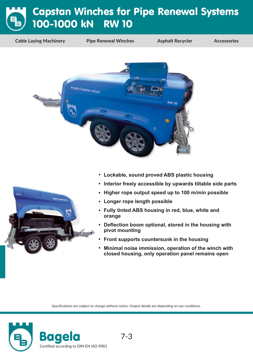## Capstan Winches for Pipe Renewal Systems 100-1000 kN RW 10

**Cable Laying Machinery Pipe Renewal Winches Asphalt Recycler Accessories**



- **• Lockable, sound proved ABS plastic housing**
- **• Interior freely accessible by upwards tiltable side parts**
- **• Higher rope output speed up to 100 m/min possible**
- **• Longer rope length possible**
- **• Fully tinted ABS housing in red, blue, white and orange**
- **• Deflection boom optional, stored in the housing with pivot mounting**
- **• Front supports countersunk in the housing**
- **• Minimal noise immission, operation of the winch with closed housing, only operation panel remains open**

Specifications are subject to change without notice. Output details are depending on use conditions.



ä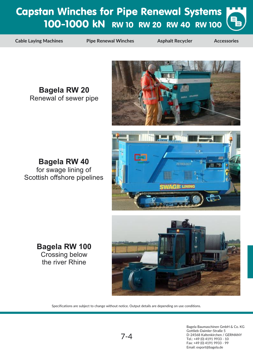## Capstan Winches for Pipe Renewal Systems 100-1000 kN RW 10 RW 20 RW 40 RW 100

**Cable Laying Machines Pipe Renewal Winches Asphalt Recycler Accessories**

**Bagela RW 20** Renewal of sewer pipe



**Bagela RW 40** for swage lining of Scottish offshore pipelines





**Bagela RW 100** Crossing below the river Rhine

Specifications are subject to change without notice. Output details are depending on use conditions.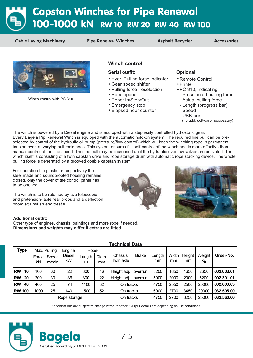# Capstan Winches for Pipe Renewal 100-1000 kN RW 10 RW 20 RW 40 RW 100

**Cable Laying Machinery Pipe Renewal Winches Asphalt Recycler Accessories**



Winch control with PC 310

#### **Winch control**

#### **Serial outfit: Optional:**

- **Hydr. Pulling force indicator**
- Gear speed shifter **•**
- Pulling force reselection **•**
- Rope speed **•**
- Rope: In/Stop/Out **•**
- Emergency stop **•**
- Elapsed hour counter **•**

- Remote Control **•**
- Printer **•**
- PC 310, indicating: **•**
- Preselected pulling force
- Actual pulling force
- Length (progress bar)
- Speed
- USB-port
- (no add. software neccessary)

The winch is powered by a Diesel engine and is equipped with a steplessly controlled hydrostatic gear. Every Bagela Pip Renewal Winch is equipped with the automatic hold-on system. The required line pull can be preselected by control of the hydraulic oil pump (pressure/flow control) which will keep the winching rope in permanent tension even at varying pull resistance. This system ensures full self-control of the winch and is more effective than manual control of the line speed. The line pull may be increased until the hydraulic overflow valves are activated. The winch itself is consisting of a twin capstan drive and rope storage drum with automatic rope stacking device. The whole pulling force is generated by a grooved double capstan system.

For operation the plastic or respectively the steel made and soundproofed housing remains closed, only the cover of the control panel has to be opened.

The winch is to be retained by two telescopic and pretension- able rear props and a deflection boom against an end trestle.





#### **Additional outfit:**

Other type of engines, chassis, paintings and more rope if needed. **Dimensions and weights may differ if extras are fitted.**

|           | <u>Technical Data</u> |             |                                |                        |                      |             |                      |              |              |             |              |              |            |
|-----------|-----------------------|-------------|--------------------------------|------------------------|----------------------|-------------|----------------------|--------------|--------------|-------------|--------------|--------------|------------|
|           | <b>Type</b>           | Force<br>kN | Max. Pulling<br>Speed<br>m/min | Engine<br>Diesel<br>kW | Rope-<br>Length<br>m | Diam.<br>mm | Chassis<br>Twin axle | <b>Brake</b> | Length<br>mm | Width<br>mm | Height<br>mm | Weight<br>kg | Order-No.  |
| <b>RW</b> | 10                    | 100         | 60                             | 22                     | 300                  | 16          | Height adj.          | overrun      | 5200         | 1850        | 1650         | 2650         | 002.003.01 |
| <b>RW</b> | 20                    | 200         | 30                             | 36                     | 300                  | 22          | Height adj.          | overrun      | 5000         | 2000        | 2000         | 5200         | 002.301.01 |
| <b>RW</b> | 40                    | 400         | 25                             | 74                     | 1100                 | 32          | On tracks            |              | 4750         | 2550        | 2500         | 20000        | 002.603.03 |
|           | <b>RW 100</b>         | 1000        | 25                             | 140                    | 1500                 | 52          | On tracks            |              | 6000         | 2730        | 3450         | 20000        | 032.505.00 |
|           |                       |             |                                | Rope storage           |                      |             | On tracks            |              | 4750         | 2700        | 3250         | 25000        | 032.560.00 |

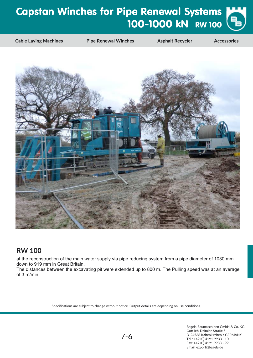# Capstan Winches for Pipe Renewal Systems 100-1000 kN RW 100

**Cable Laying Machines Pipe Renewal Winches Asphalt Recycler Accessories**



### **RW 100**

at the reconstruction of the main water supply via pipe reducing system from a pipe diameter of 1030 mm down to 919 mm in Great Britain.

The distances between the excavating pit were extended up to 800 m. The Pulling speed was at an average of 3 m/min.

Specifications are subject to change without notice. Output details are depending on use conditions.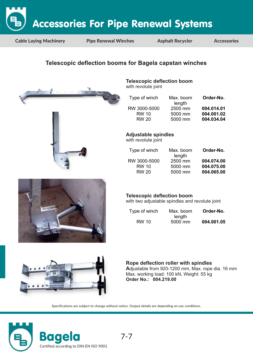

**Cable Laying Machinery Pipe Renewal Winches Asphalt Recycler Accessories**

### **Telescopic deflection booms for Bagela capstan winches**



### **Telescopic deflection boom**

with revolute joint

| Type of winch | Max. boom<br>length | Order-No.  |
|---------------|---------------------|------------|
| RW 3000-5000  | 2500 mm             | 004.014.01 |
| RW 10         | 5000 mm             | 004.001.02 |
| <b>RW 20</b>  | 5000 mm             | 004.034.04 |
|               |                     |            |

**Adjustable spindles**

with revolute joint

| Type of winch | Max. boom<br>length | Order-No.  |
|---------------|---------------------|------------|
| RW 3000-5000  | 2500 mm             | 004.074.00 |
| <b>RW 10</b>  | 5000 mm             | 004.075.00 |
| <b>RW 20</b>  | 5000 mm             | 004.065.00 |
|               |                     |            |

### **Telescopic deflection boom**

with two adjustable spindles and revolute joint

| Type of winch | Max. boom | Order-No.  |
|---------------|-----------|------------|
|               | length    |            |
| RW 10         | 5000 mm   | 004.001.05 |



#### **Rope deflection roller with spindles A**djustable from 920-1200 mm, Max. rope dia. 16 mm Max. working load: 100 kN, Weight: 55 kg **Order No.: 004.219.00**

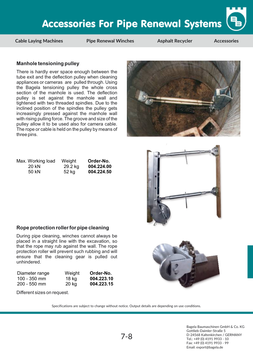**Cable Laying Machines Pipe Renewal Winches Asphalt Recycler Accessories**

#### **Manhole tensioning pulley**

There is hardly ever space enough between the tube exit and the deflection pulley when cleaning appliances or cameras are pulled through. Using the Bagela tensioning pulley the whole cross section of the manhole is used. The deflection pulley is set against the manhole wall and tightened with two threaded spindles. Due to the inclined position of the spindles the pulley gets increasingly pressed against the manhole wall with rising pulling force. The groove and size of the pulley allow it to be used also for camera cable. The rope or cable is held on the pulley by means of three pins.

| Max. Working load | Weight  | Order-No.  |
|-------------------|---------|------------|
| 20 KN             | 29.2 kg | 004.224.00 |
| 50 kN             | 52 kg   | 004.224.50 |

#### **Rope protection roller for pipe cleaning**

During pipe cleaning, winches cannot always be placed in a straight line with the excavation, so that the rope may rub against the wall. The rope protection roller will prevent such rubbing and will ensure that the cleaning gear is pulled out unhindered.

| Diameter range | Weight | Order-No.  |
|----------------|--------|------------|
| $100 - 350$ mm | 18 kg  | 004.223.10 |
| $200 - 550$ mm | 20 kg  | 004.223.15 |

Different sizes on request.

Specifications are subject to change without notice. Output details are depending on use conditions.





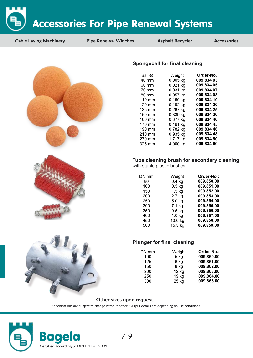**Cable Laying Machinery Pipe Renewal Winches Asphalt Recycler Accessories**







#### **Spongeball for final cleaning**

| Ball-Ø           | Weight     | Order-No.  |
|------------------|------------|------------|
| $40 \text{ mm}$  | $0.005$ kg | 009.834.03 |
| 60 mm            | $0.021$ kg | 009.834.05 |
| 70 mm            | $0.031$ kg | 009.834.07 |
| 80 mm            | $0.057$ kg | 009.834.08 |
| 110 mm           | $0.150$ kg | 009.834.10 |
| 120 mm           | $0.192$ kg | 009.834.20 |
| 135 mm           | 0.267 kg   | 009.834.25 |
| 150 mm           | 0.339 kg   | 009.834.30 |
| 160 mm           | 0.377 kg   | 009.834.40 |
| 170 mm           | 0.491 kg   | 009.834.45 |
| 190 mm           | 0.782 kg   | 009.834.46 |
| 210 mm           | 0.935 kg   | 009.834.48 |
| 270 mm           | 1.717 kg   | 009.834.50 |
| $325 \text{ mm}$ | 4.000 kg   | 009.834.60 |
|                  |            |            |

### **Tube cleaning brush for secondary cleaning**

with stable plastic bristles

| DN mm | Weight            | Order-No.: |
|-------|-------------------|------------|
| 80    | $0.4$ kg          | 009.850.00 |
| 100   | $0.5$ kg          | 009.851.00 |
| 150   | $1.5$ kg          | 009.852.00 |
| 200   | 2.7 kg            | 009.853.00 |
| 250   | $5.0$ kg          | 009.854.00 |
| 300   | 7.1 kg            | 009.855.00 |
| 350   | $9.5$ kg          | 009.856.00 |
| 400   | 1.0 <sub>kg</sub> | 009.857.00 |
| 450   | 13.0 kg           | 009.858.00 |
| 500   | 15.5 kg           | 009.859.00 |



| DN mm | Weight | Order-No.: |
|-------|--------|------------|
| 100   | 5 kg   | 009.860.00 |
| 125   | 6 kg   | 009.861.00 |
| 150   | 8 kg   | 009.862.00 |
| 200   | 12 kg  | 009.863.00 |
| 250   | 19 kg  | 009.864.00 |
| 300   | 25 kg  | 009.865.00 |
|       |        |            |

#### **Other sizes upon request.**

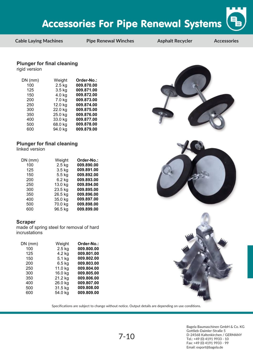**Cable Laying Machines Pipe Renewal Winches Asphalt Recycler Accessories**

#### **Plunger for final cleaning**

rigid version

| DN (mm) | Weight   | Order-No.: |
|---------|----------|------------|
| 100     | $2.5$ kg | 009.870.00 |
| 125     | $3.5$ kg | 009.871.00 |
| 150     | $4.0$ kg | 009.872.00 |
| 200     | 7.0 kg   | 009.873.00 |
| 250     | 12.0 kg  | 009.874.00 |
| 300     | 22.0 kg  | 009.875.00 |
| 350     | 25.0 kg  | 009.876.00 |
| 400     | 33.0 kg  | 009.877.00 |
| 500     | 68.0 kg  | 009.878.00 |
| 600     | 94.0 kg  | 009.879.00 |

### **Plunger for final cleaning**

linked version

| $DN$ (mm) | Weight   | Order-No.: |
|-----------|----------|------------|
| 100       | $2.5$ kg | 009.890.00 |
| 125       | $3.5$ kg | 009.891.00 |
| 150       | $5.5$ kg | 009.892.00 |
| 200       | $6.2$ kg | 009.893.00 |
| 250       | 13.0 kg  | 009.894.00 |
| 300       | 23.5 kg  | 009.895.00 |
| 350       | 26.5 kg  | 009.896.00 |
| 400       | 35.0 kg  | 009.897.00 |
| 500       | 70.0 kg  | 009.898.00 |
| 600       | 96.5 kg  | 009.899.00 |

#### **Scraper**

made of spring steel for removal of hard incrustations

| $DN$ (mm) | Weight   | Order-No.: |
|-----------|----------|------------|
| 100       | $2.5$ kg | 009.800.00 |
| 125       | 4.2 kg   | 009.801.00 |
| 150       | 5.1 kg   | 009.802.00 |
| 200       | $6.5$ kg | 009.803.00 |
| 250       | 11.0 kg  | 009.804.00 |
| 300       | 16.0 kg  | 009.805.00 |
| 350       | 21.2 kg  | 009.806.00 |
| 400       | 26.0 kg  | 009.807.00 |
| 500       | 31.5 kg  | 009.808.00 |
| 600       | 54.0 kg  | 009.809.00 |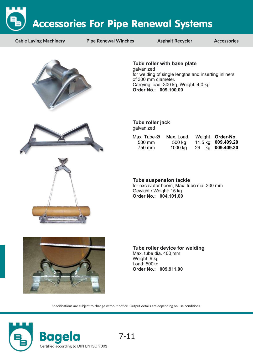**Cable Laying Machinery Pipe Renewal Winches Asphalt Recycler Accessories**



**Tube roller with base plate** galvanized for welding of single lengths and inserting inliners of 300 mm diameter. Carrying load: 300 kg, Weight: 4.0 kg **Order No.: 009.100.00**





**Tube roller jack** galvanized

| Max. Tube- $\varnothing$ | Max. Load | Weight Order-No.   |
|--------------------------|-----------|--------------------|
| $500 \text{ mm}$         | 500 kg    | 11.5 kg 009.409.20 |
| 750 mm                   | 1000 kg   | 29 kg 009.409.30   |

**Tube suspension tackle** for excavator boom, Max. tube dia. 300 mm Gewicht / Weight: 15 kg **Order No.: 004.101.00**



**Tube roller device for welding** Max. tube dia. 400 mm Weight: 9 kg Load: 500kg **Order No.: 009.911.00**

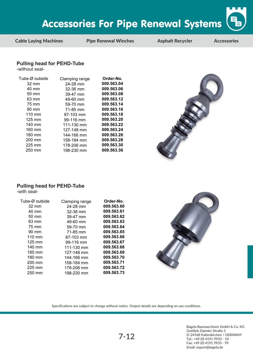

**Cable Laying Machines Pipe Renewal Winches Asphalt Recycler Accessories**

#### **Pulling head for PEHD-Tube**

-without seal-

| Tube-Ø outside   | Clamping range | Order-No.  |
|------------------|----------------|------------|
| $32 \text{ mm}$  | 24-28 mm       | 009.563.04 |
| 40 mm            | $32-36$ mm     | 009.563.06 |
| $50 \text{ mm}$  | 39-47 mm       | 009.563.08 |
| 63 mm            | 49-60 mm       | 009.563.12 |
| 75 mm            | 59-70 mm       | 009.563.14 |
| 90 mm            | 71-85 mm       | 009.563.16 |
| $110 \text{ mm}$ | 87-103 mm      | 009.563.18 |
| $125 \text{ mm}$ | 99-116 mm      | 009.563.20 |
| 140 mm           | 111-130 mm     | 009.563.22 |
| 160 mm           | 127-148 mm     | 009.563.24 |
| 180 mm           | 144-166 mm     | 009.563.26 |
| 200 mm           | 158-184 mm     | 009.563.28 |
| 225 mm           | 178-206 mm     | 009.563.30 |
| 250 mm           | 198-230 mm     | 009.563.36 |

### **Pulling head for PEHD-Tube**

-with seal-

| Tube-Ø outside   | Clamping range | Order-No.  |
|------------------|----------------|------------|
| 32 mm            | 24-28 mm       | 009.563.60 |
| 40 mm            | 32-36 mm       | 009.563.61 |
| $50 \text{ mm}$  | 39-47 mm       | 009.563.62 |
| 63 mm            | 49-60 mm       | 009.563.63 |
| 75 mm            | 59-70 mm       | 009.563.64 |
| 90 mm            | 71-85 mm       | 009.563.65 |
| $110 \text{ mm}$ | 87-103 mm      | 009.563.66 |
| $125 \text{ mm}$ | 99-116 mm      | 009.563.67 |
| 140 mm           | 111-130 mm     | 009.563.68 |
| 160 mm           | 127-148 mm     | 009.563.69 |
| 180 mm           | 144-166 mm     | 009.563.70 |
| 200 mm           | 158-184 mm     | 009.563.71 |
| $225$ mm         | 178-206 mm     | 009.563.72 |
| 250 mm           | 198-230 mm     | 009.563.73 |



Specifications are subject to change without notice. Output details are depending on use conditions.

7-12